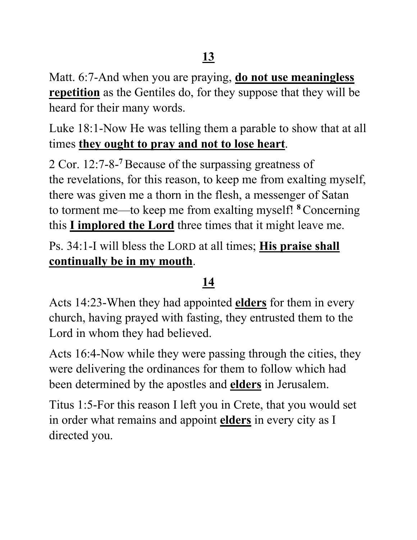Matt. 6:7-And when you are praying, **do not use meaningless repetition** as the Gentiles do, for they suppose that they will be heard for their many words.

Luke 18:1-Now He was telling them a parable to show that at all times **they ought to pray and not to lose heart**.

2 Cor. 12:7-8- **<sup>7</sup>**Because of the surpassing greatness of the revelations, for this reason, to keep me from exalting myself, there was given me a thorn in the flesh, a messenger of Satan to torment me—to keep me from exalting myself! **<sup>8</sup>**Concerning this **I implored the Lord** three times that it might leave me.

Ps. 34:1-I will bless the LORD at all times; **His praise shall continually be in my mouth**.

## **14**

Acts 14:23-When they had appointed **elders** for them in every church, having prayed with fasting, they entrusted them to the Lord in whom they had believed.

Acts 16:4-Now while they were passing through the cities, they were delivering the ordinances for them to follow which had been determined by the apostles and **elders** in Jerusalem.

Titus 1:5-For this reason I left you in Crete, that you would set in order what remains and appoint **elders** in every city as I directed you.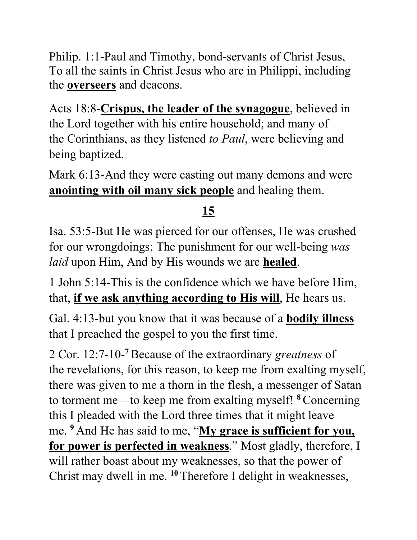Philip. 1:1-Paul and Timothy, bond-servants of Christ Jesus, To all the saints in Christ Jesus who are in Philippi, including the **overseers** and deacons.

Acts 18:8-**Crispus, the leader of the synagogue**, believed in the Lord together with his entire household; and many of the Corinthians, as they listened *to Paul*, were believing and being baptized.

Mark 6:13-And they were casting out many demons and were **anointing with oil many sick people** and healing them.

## **15**

Isa. 53:5-But He was pierced for our offenses, He was crushed for our wrongdoings; The punishment for our well-being *was laid* upon Him, And by His wounds we are **healed**.

1 John 5:14-This is the confidence which we have before Him, that, **if we ask anything according to His will**, He hears us.

Gal. 4:13-but you know that it was because of a **bodily illness** that I preached the gospel to you the first time.

2 Cor. 12:7-10- **<sup>7</sup>**Because of the extraordinary *greatness* of the revelations, for this reason, to keep me from exalting myself, there was given to me a thorn in the flesh, a messenger of Satan to torment me—to keep me from exalting myself! **<sup>8</sup>**Concerning this I pleaded with the Lord three times that it might leave me. **<sup>9</sup>** And He has said to me, "**My grace is sufficient for you, for power is perfected in weakness**." Most gladly, therefore, I will rather boast about my weaknesses, so that the power of Christ may dwell in me. **<sup>10</sup>** Therefore I delight in weaknesses,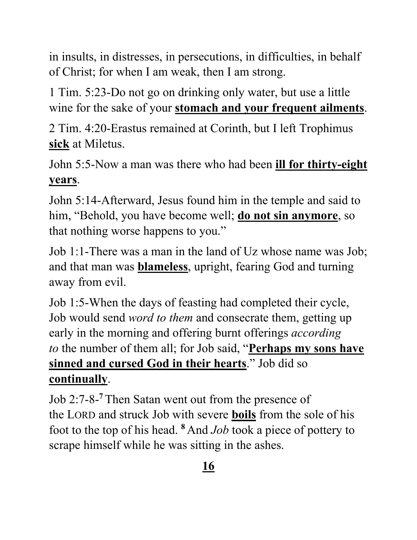in insults, in distresses, in persecutions, in difficulties, in behalf of Christ; for when I am weak, then I am strong.

1 Tim. 5:23-Do not go on drinking only water, but use a little wine for the sake of your **stomach and your frequent ailments**.

2 Tim. 4:20-Erastus remained at Corinth, but I left Trophimus **sick** at Miletus.

John 5:5-Now a man was there who had been **ill for thirty-eight years**.

John 5:14-Afterward, Jesus found him in the temple and said to him, "Behold, you have become well; **do not sin anymore**, so that nothing worse happens to you."

Job 1:1-There was a man in the land of Uz whose name was Job; and that man was **blameless**, upright, fearing God and turning away from evil.

Job 1:5-When the days of feasting had completed their cycle, Job would send *word to them* and consecrate them, getting up early in the morning and offering burnt offerings *according to* the number of them all; for Job said, "**Perhaps my sons have sinned and cursed God in their hearts**." Job did so **continually**.

Job 2:7-8- **<sup>7</sup>** Then Satan went out from the presence of the LORD and struck Job with severe **boils** from the sole of his foot to the top of his head. **<sup>8</sup>** And *Job* took a piece of pottery to scrape himself while he was sitting in the ashes.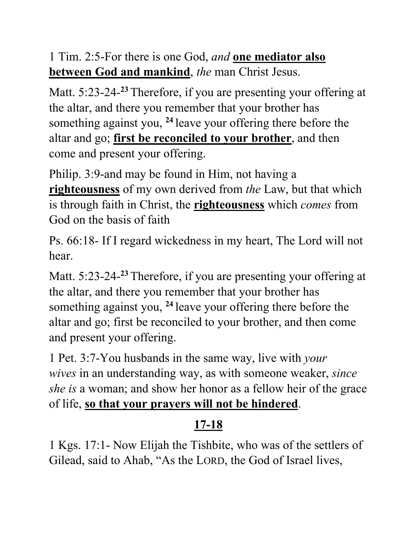1 Tim. 2:5-For there is one God, *and* **one mediator also between God and mankind**, *the* man Christ Jesus.

Matt. 5:23-24- **<sup>23</sup>** Therefore, if you are presenting your offering at the altar, and there you remember that your brother has something against you, **<sup>24</sup>** leave your offering there before the altar and go; **first be reconciled to your brother**, and then come and present your offering.

Philip. 3:9-and may be found in Him, not having a **righteousness** of my own derived from *the* Law, but that which is through faith in Christ, the **righteousness** which *comes* from God on the basis of faith

Ps. 66:18- If I regard wickedness in my heart, The Lord will not hear.

Matt. 5:23-24- **<sup>23</sup>** Therefore, if you are presenting your offering at the altar, and there you remember that your brother has something against you, **<sup>24</sup>** leave your offering there before the altar and go; first be reconciled to your brother, and then come and present your offering.

1 Pet. 3:7-You husbands in the same way, live with *your wives* in an understanding way, as with someone weaker, *since she is* a woman; and show her honor as a fellow heir of the grace of life, **so that your prayers will not be hindered**.

## **17-18**

1 Kgs. 17:1- Now Elijah the Tishbite, who was of the settlers of Gilead, said to Ahab, "As the LORD, the God of Israel lives,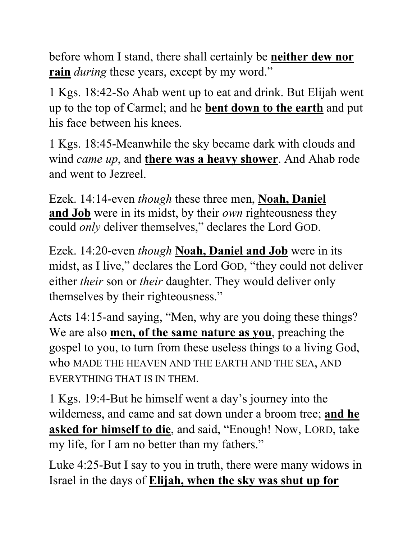before whom I stand, there shall certainly be **neither dew nor rain** *during* these years, except by my word."

1 Kgs. 18:42-So Ahab went up to eat and drink. But Elijah went up to the top of Carmel; and he **bent down to the earth** and put his face between his knees.

1 Kgs. 18:45-Meanwhile the sky became dark with clouds and wind *came up*, and **there was a heavy shower**. And Ahab rode and went to Jezreel.

Ezek. 14:14-even *though* these three men, **Noah, Daniel and Job** were in its midst, by their *own* righteousness they could *only* deliver themselves," declares the Lord GOD.

Ezek. 14:20-even *though* **Noah, Daniel and Job** were in its midst, as I live," declares the Lord GOD, "they could not deliver either *their* son or *their* daughter. They would deliver only themselves by their righteousness."

Acts 14:15-and saying, "Men, why are you doing these things? We are also **men, of the same nature as you**, preaching the gospel to you, to turn from these useless things to a living God, who MADE THE HEAVEN AND THE EARTH AND THE SEA, AND EVERYTHING THAT IS IN THEM.

1 Kgs. 19:4-But he himself went a day's journey into the wilderness, and came and sat down under a broom tree; **and he asked for himself to die**, and said, "Enough! Now, LORD, take my life, for I am no better than my fathers."

Luke 4:25-But I say to you in truth, there were many widows in Israel in the days of **Elijah, when the sky was shut up for**